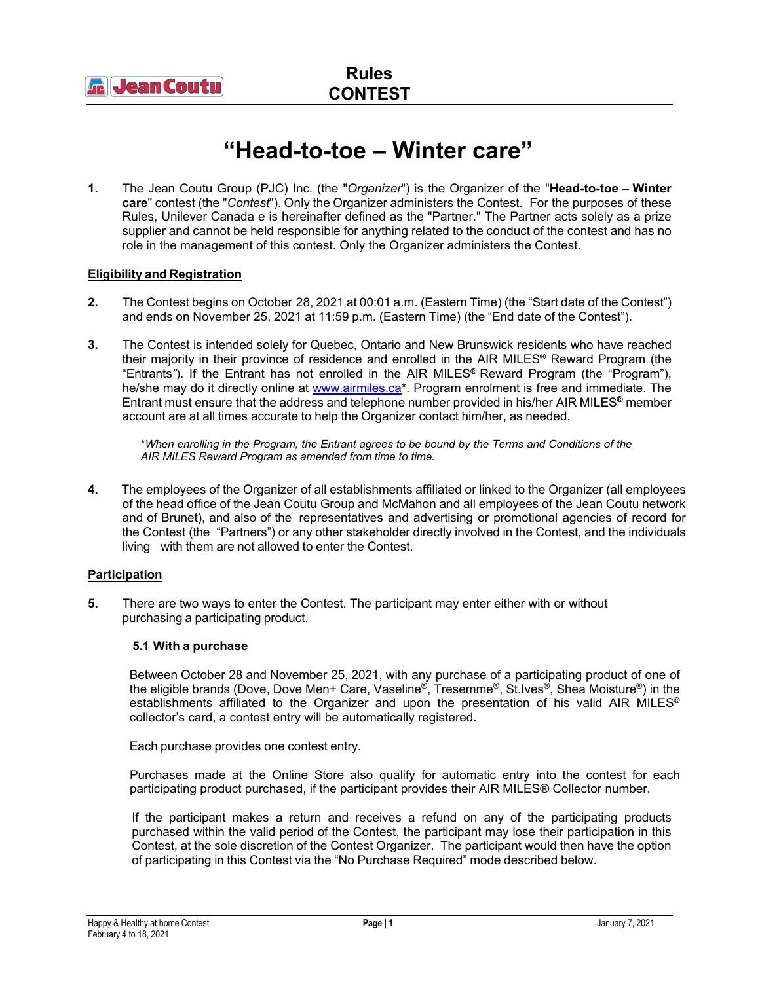

# **"Head-to-toe – Winter care"**

**1.** The Jean Coutu Group (PJC) Inc. (the "*Organizer*") is the Organizer of the "**Head-to-toe – Winter care**" contest (the "*Contest*"). Only the Organizer administers the Contest. For the purposes of these Rules, Unilever Canada e is hereinafter defined as the "Partner." The Partner acts solely as a prize supplier and cannot be held responsible for anything related to the conduct of the contest and has no role in the management of this contest. Only the Organizer administers the Contest.

# **Eligibility and Registration**

- **2.** The Contest begins on October 28, 2021 at 00:01 a.m. (Eastern Time) (the "Start date of the Contest") and ends on November 25, 2021 at 11:59 p.m. (Eastern Time) (the "End date of the Contest").
- **3.** The Contest is intended solely for Quebec, Ontario and New Brunswick residents who have reached their majority in their province of residence and enrolled in the AIR MILES**®** Reward Program (the "Entrants*"*). If the Entrant has not enrolled in the AIR MILES**®** Reward Program (the "Program"), he/she may do it directly online at [www.airmiles.ca\\*](http://www.airmiles.ca/). Program enrolment is free and immediate. The Entrant must ensure that the address and telephone number provided in his/her AIR MILES**®** member account are at all times accurate to help the Organizer contact him/her, as needed.

\**When enrolling in the Program, the Entrant agrees to be bound by the Terms and Conditions of the AIR MILES Reward Program as amended from time to time.*

**4.** The employees of the Organizer of all establishments affiliated or linked to the Organizer (all employees of the head office of the Jean Coutu Group and McMahon and all employees of the Jean Coutu network and of Brunet), and also of the representatives and advertising or promotional agencies of record for the Contest (the "Partners") or any other stakeholder directly involved in the Contest, and the individuals living with them are not allowed to enter the Contest.

# **Participation**

**5.** There are two ways to enter the Contest. The participant may enter either with or without purchasing a participating product.

# **5.1 With a purchase**

Between October 28 and November 25, 2021, with any purchase of a participating product of one of the eligible brands (Dove, Dove Men+ Care, Vaseline®, Tresemme®, St.Ives®, Shea Moisture®) in the establishments affiliated to the Organizer and upon the presentation of his valid AIR MILES® collector's card, a contest entry will be automatically registered.

Each purchase provides one contest entry.

Purchases made at the Online Store also qualify for automatic entry into the contest for each participating product purchased, if the participant provides their AIR MILES® Collector number.

If the participant makes a return and receives a refund on any of the participating products purchased within the valid period of the Contest, the participant may lose their participation in this Contest, at the sole discretion of the Contest Organizer. The participant would then have the option of participating in this Contest via the "No Purchase Required" mode described below.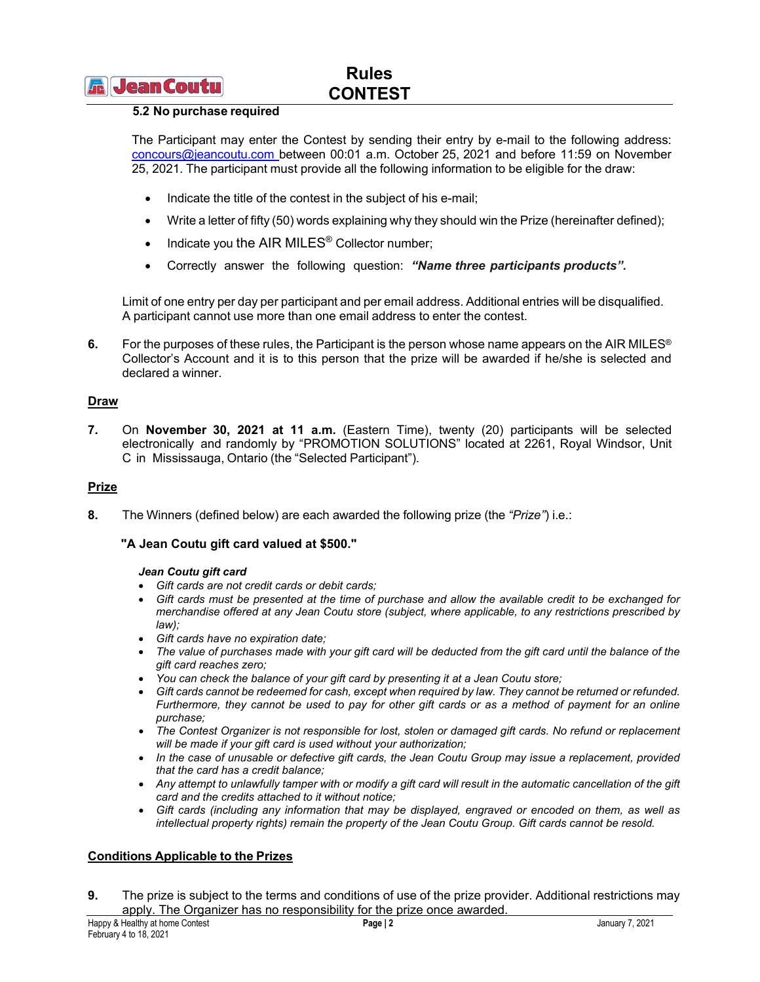# **Rules CONTEST**

# **5.2 No purchase required**

The Participant may enter the Contest by sending their entry by e-mail to the following address: [concours@jeancoutu.com](mailto:concours@jeancoutu.com) between 00:01 a.m. October 25, 2021 and before 11:59 on November 25, 2021. The participant must provide all the following information to be eligible for the draw:

- Indicate the title of the contest in the subject of his e-mail;
- Write a letter of fifty (50) words explaining why they should win the Prize (hereinafter defined);
- Indicate you the AIR MILES<sup>®</sup> Collector number;
- Correctly answer the following question: *"Name three participants products".*

Limit of one entry per day per participant and per email address. Additional entries will be disqualified. A participant cannot use more than one email address to enter the contest.

**6.** For the purposes of these rules, the Participant is the person whose name appears on the AIR MILES<sup>®</sup> Collector's Account and it is to this person that the prize will be awarded if he/she is selected and declared a winner.

# **Draw**

**7.** On **November 30, 2021 at 11 a.m.** (Eastern Time), twenty (20) participants will be selected electronically and randomly by "PROMOTION SOLUTIONS" located at 2261, Royal Windsor, Unit C in Mississauga, Ontario (the "Selected Participant").

#### **Prize**

**8.** The Winners (defined below) are each awarded the following prize (the *"Prize"*) i.e.:

# **"A Jean Coutu gift card valued at \$500."**

#### *Jean Coutu gift card*

- *Gift cards are not credit cards or debit cards;*
- *Gift cards must be presented at the time of purchase and allow the available credit to be exchanged for merchandise offered at any Jean Coutu store (subject, where applicable, to any restrictions prescribed by law);*
- *Gift cards have no expiration date;*
- *The value of purchases made with your gift card will be deducted from the gift card until the balance of the gift card reaches zero;*
- *You can check the balance of your gift card by presenting it at a Jean Coutu store;*
- *Gift cards cannot be redeemed for cash, except when required by law. They cannot be returned or refunded. Furthermore, they cannot be used to pay for other gift cards or as a method of payment for an online purchase;*
- *The Contest Organizer is not responsible for lost, stolen or damaged gift cards. No refund or replacement will be made if your gift card is used without your authorization;*
- *In the case of unusable or defective gift cards, the Jean Coutu Group may issue a replacement, provided that the card has a credit balance;*
- Any attempt to unlawfully tamper with or modify a gift card will result in the automatic cancellation of the gift *card and the credits attached to it without notice;*
- *Gift cards (including any information that may be displayed, engraved or encoded on them, as well as intellectual property rights) remain the property of the Jean Coutu Group. Gift cards cannot be resold.*

# **Conditions Applicable to the Prizes**

**9.** The prize is subject to the terms and conditions of use of the prize provider. Additional restrictions may apply. The Organizer has no responsibility for the prize once awarded.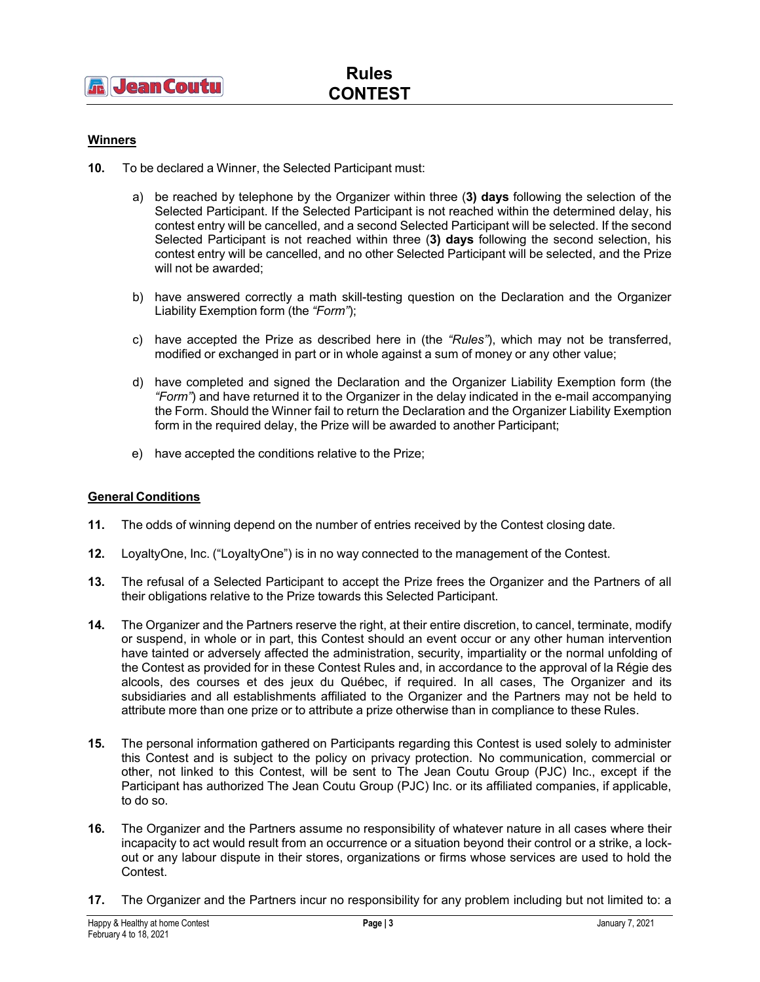# **Winners**

- **10.** To be declared a Winner, the Selected Participant must:
	- a) be reached by telephone by the Organizer within three (**3) days** following the selection of the Selected Participant. If the Selected Participant is not reached within the determined delay, his contest entry will be cancelled, and a second Selected Participant will be selected. If the second Selected Participant is not reached within three (**3) days** following the second selection, his contest entry will be cancelled, and no other Selected Participant will be selected, and the Prize will not be awarded;
	- b) have answered correctly a math skill-testing question on the Declaration and the Organizer Liability Exemption form (the *"Form"*);
	- c) have accepted the Prize as described here in (the *"Rules"*), which may not be transferred, modified or exchanged in part or in whole against a sum of money or any other value;
	- d) have completed and signed the Declaration and the Organizer Liability Exemption form (the *"Form"*) and have returned it to the Organizer in the delay indicated in the e-mail accompanying the Form. Should the Winner fail to return the Declaration and the Organizer Liability Exemption form in the required delay, the Prize will be awarded to another Participant;
	- e) have accepted the conditions relative to the Prize;

# **General Conditions**

- **11.** The odds of winning depend on the number of entries received by the Contest closing date.
- **12.** LoyaltyOne, Inc. ("LoyaltyOne") is in no way connected to the management of the Contest.
- **13.** The refusal of a Selected Participant to accept the Prize frees the Organizer and the Partners of all their obligations relative to the Prize towards this Selected Participant.
- **14.** The Organizer and the Partners reserve the right, at their entire discretion, to cancel, terminate, modify or suspend, in whole or in part, this Contest should an event occur or any other human intervention have tainted or adversely affected the administration, security, impartiality or the normal unfolding of the Contest as provided for in these Contest Rules and, in accordance to the approval of la Régie des alcools, des courses et des jeux du Québec, if required. In all cases, The Organizer and its subsidiaries and all establishments affiliated to the Organizer and the Partners may not be held to attribute more than one prize or to attribute a prize otherwise than in compliance to these Rules.
- **15.** The personal information gathered on Participants regarding this Contest is used solely to administer this Contest and is subject to the policy on privacy protection. No communication, commercial or other, not linked to this Contest, will be sent to The Jean Coutu Group (PJC) Inc., except if the Participant has authorized The Jean Coutu Group (PJC) Inc. or its affiliated companies, if applicable, to do so.
- **16.** The Organizer and the Partners assume no responsibility of whatever nature in all cases where their incapacity to act would result from an occurrence or a situation beyond their control or a strike, a lockout or any labour dispute in their stores, organizations or firms whose services are used to hold the Contest.
- **17.** The Organizer and the Partners incur no responsibility for any problem including but not limited to: a